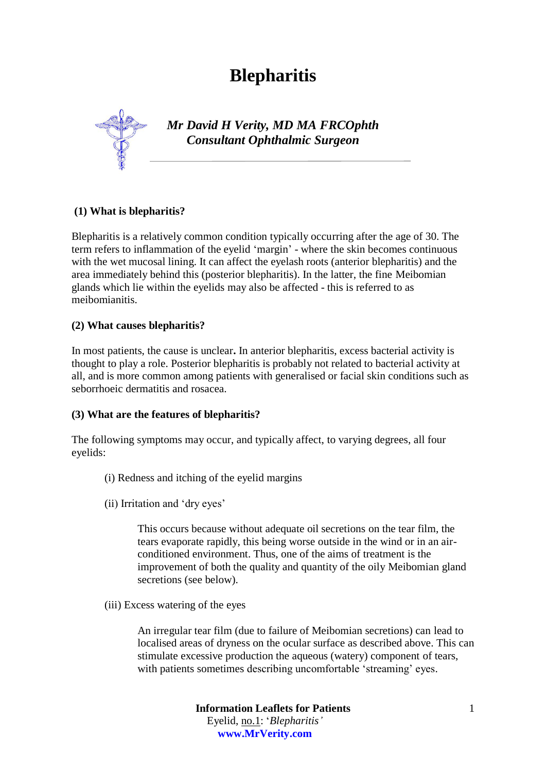# **Blepharitis**



*Mr David H Verity, MD MA FRCOphth Consultant Ophthalmic Surgeon*

# **(1) What is blepharitis?**

Blepharitis is a relatively common condition typically occurring after the age of 30. The term refers to inflammation of the eyelid 'margin' - where the skin becomes continuous with the wet mucosal lining. It can affect the eyelash roots (anterior blepharitis) and the area immediately behind this (posterior blepharitis). In the latter, the fine Meibomian glands which lie within the eyelids may also be affected - this is referred to as meibomianitis.

# **(2) What causes blepharitis?**

In most patients, the cause is unclear**.** In anterior blepharitis, excess bacterial activity is thought to play a role. Posterior blepharitis is probably not related to bacterial activity at all, and is more common among patients with generalised or facial skin conditions such as [seborrhoeic dermatitis](http://www.patient.co.uk/DisplayConcepts.asp?WordId=SEBORRHOEIC%20DERMATITIS&MaxResults=50) and rosacea.

# **(3) What are the features of blepharitis?**

The following symptoms may occur, and typically affect, to varying degrees, all four eyelids:

- (i) Redness and itching of the eyelid margins
- (ii) Irritation and 'dry eyes'

This occurs because without adequate oil secretions on the tear film, the tears evaporate rapidly, this being worse outside in the wind or in an airconditioned environment. Thus, one of the aims of treatment is the improvement of both the quality and quantity of the oily Meibomian gland secretions (see below).

(iii) Excess watering of the eyes

An irregular tear film (due to failure of Meibomian secretions) can lead to localised areas of dryness on the ocular surface as described above. This can stimulate excessive production the aqueous (watery) component of tears, with patients sometimes describing uncomfortable 'streaming' eyes.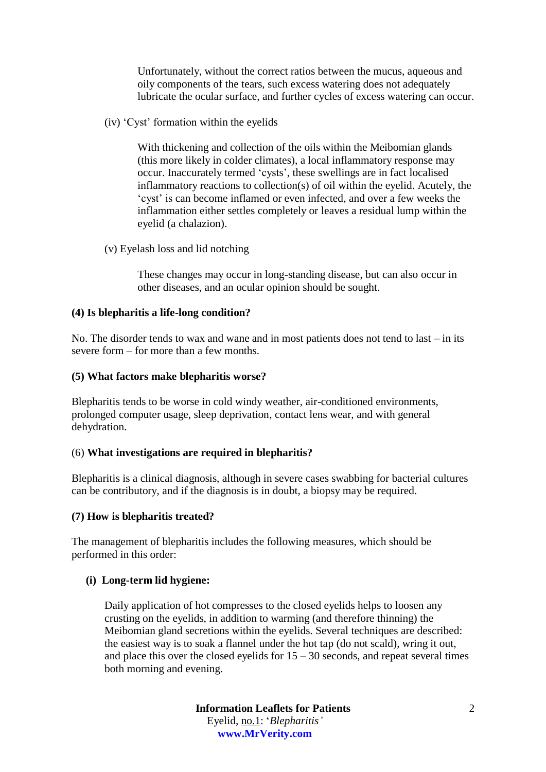Unfortunately, without the correct ratios between the mucus, aqueous and oily components of the tears, such excess watering does not adequately lubricate the ocular surface, and further cycles of excess watering can occur.

(iv) 'Cyst' formation within the eyelids

With thickening and collection of the oils within the Meibomian glands (this more likely in colder climates), a local inflammatory response may occur. Inaccurately termed 'cysts', these swellings are in fact localised inflammatory reactions to collection(s) of oil within the eyelid. Acutely, the 'cyst' is can become inflamed or even infected, and over a few weeks the inflammation either settles completely or leaves a residual lump within the eyelid (a chalazion).

(v) Eyelash loss and lid notching

These changes may occur in long-standing disease, but can also occur in other diseases, and an ocular opinion should be sought.

## **(4) Is blepharitis a life-long condition?**

No. The disorder tends to wax and wane and in most patients does not tend to last – in its severe form – for more than a few months.

## **(5) What factors make blepharitis worse?**

Blepharitis tends to be worse in cold windy weather, air-conditioned environments, prolonged computer usage, sleep deprivation, contact lens wear, and with general dehydration.

#### (6) **What investigations are required in blepharitis?**

Blepharitis is a clinical diagnosis, although in severe cases swabbing for bacterial cultures can be contributory, and if the diagnosis is in doubt, a biopsy may be required.

# **(7) How is blepharitis treated?**

The management of blepharitis includes the following measures, which should be performed in this order:

#### **(i) Long-term lid hygiene:**

Daily application of hot compresses to the closed eyelids helps to loosen any crusting on the eyelids, in addition to warming (and therefore thinning) the Meibomian gland secretions within the eyelids. Several techniques are described: the easiest way is to soak a flannel under the hot tap (do not scald), wring it out, and place this over the closed eyelids for  $15 - 30$  seconds, and repeat several times both morning and evening.